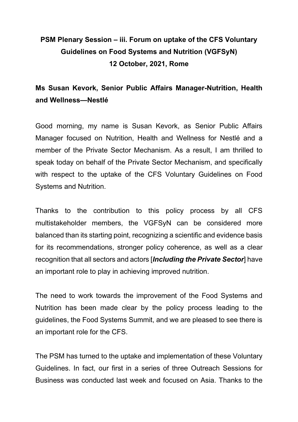## **PSM Plenary Session – iii. Forum on uptake of the CFS Voluntary Guidelines on Food Systems and Nutrition (VGFSyN) 12 October, 2021, Rome**

## **Ms Susan Kevork, Senior Public Affairs Manager-Nutrition, Health and Wellness—Nestlé**

Good morning, my name is Susan Kevork, as Senior Public Affairs Manager focused on Nutrition, Health and Wellness for Nestlé and a member of the Private Sector Mechanism. As a result, I am thrilled to speak today on behalf of the Private Sector Mechanism, and specifically with respect to the uptake of the CFS Voluntary Guidelines on Food Systems and Nutrition.

Thanks to the contribution to this policy process by all CFS multistakeholder members, the VGFSyN can be considered more balanced than its starting point, recognizing a scientific and evidence basis for its recommendations, stronger policy coherence, as well as a clear recognition that all sectors and actors [*Including the Private Sector*] have an important role to play in achieving improved nutrition.

The need to work towards the improvement of the Food Systems and Nutrition has been made clear by the policy process leading to the guidelines, the Food Systems Summit, and we are pleased to see there is an important role for the CFS.

The PSM has turned to the uptake and implementation of these Voluntary Guidelines. In fact, our first in a series of three Outreach Sessions for Business was conducted last week and focused on Asia. Thanks to the